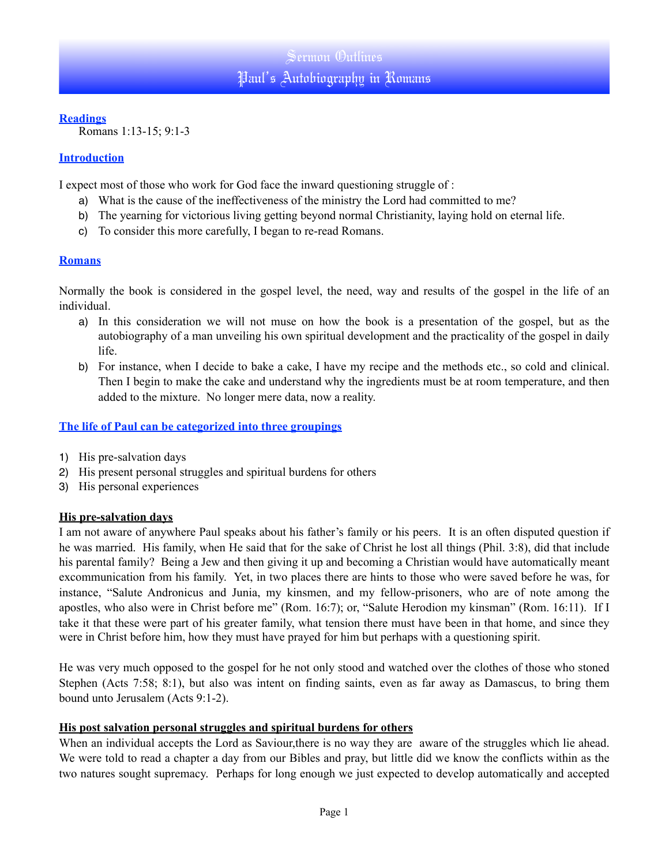## **Readings**

Romans 1:13-15; 9:1-3

## **Introduction**

I expect most of those who work for God face the inward questioning struggle of :

- a) What is the cause of the ineffectiveness of the ministry the Lord had committed to me?
- b) The yearning for victorious living getting beyond normal Christianity, laying hold on eternal life.
- c) To consider this more carefully, I began to re-read Romans.

## **Romans**

Normally the book is considered in the gospel level, the need, way and results of the gospel in the life of an individual.

- a) In this consideration we will not muse on how the book is a presentation of the gospel, but as the autobiography of a man unveiling his own spiritual development and the practicality of the gospel in daily life.
- b) For instance, when I decide to bake a cake, I have my recipe and the methods etc., so cold and clinical. Then I begin to make the cake and understand why the ingredients must be at room temperature, and then added to the mixture. No longer mere data, now a reality.

## **The life of Paul can be categorized into three groupings**

- 1) His pre-salvation days
- 2) His present personal struggles and spiritual burdens for others
- 3) His personal experiences

## **His pre-salvation days**

I am not aware of anywhere Paul speaks about his father's family or his peers. It is an often disputed question if he was married. His family, when He said that for the sake of Christ he lost all things (Phil. 3:8), did that include his parental family? Being a Jew and then giving it up and becoming a Christian would have automatically meant excommunication from his family. Yet, in two places there are hints to those who were saved before he was, for instance, "Salute Andronicus and Junia, my kinsmen, and my fellow-prisoners, who are of note among the apostles, who also were in Christ before me" (Rom. 16:7); or, "Salute Herodion my kinsman" (Rom. 16:11). If I take it that these were part of his greater family, what tension there must have been in that home, and since they were in Christ before him, how they must have prayed for him but perhaps with a questioning spirit.

He was very much opposed to the gospel for he not only stood and watched over the clothes of those who stoned Stephen (Acts 7:58; 8:1), but also was intent on finding saints, even as far away as Damascus, to bring them bound unto Jerusalem (Acts 9:1-2).

#### **His post salvation personal struggles and spiritual burdens for others**

When an individual accepts the Lord as Saviour, there is no way they are aware of the struggles which lie ahead. We were told to read a chapter a day from our Bibles and pray, but little did we know the conflicts within as the two natures sought supremacy. Perhaps for long enough we just expected to develop automatically and accepted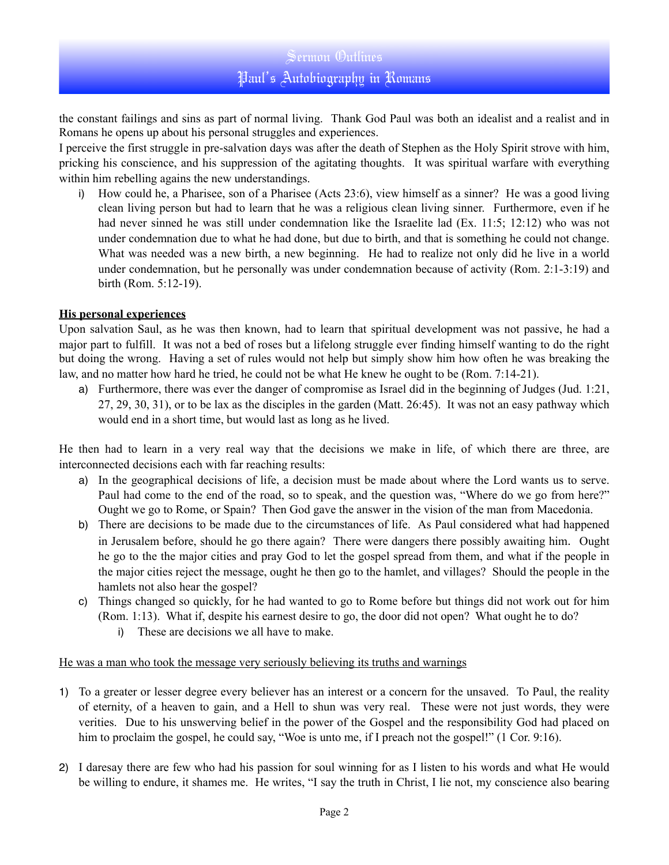# Sermon Outlines Paul's Autobiography in Romans

the constant failings and sins as part of normal living. Thank God Paul was both an idealist and a realist and in Romans he opens up about his personal struggles and experiences.

I perceive the first struggle in pre-salvation days was after the death of Stephen as the Holy Spirit strove with him, pricking his conscience, and his suppression of the agitating thoughts. It was spiritual warfare with everything within him rebelling agains the new understandings.

i) How could he, a Pharisee, son of a Pharisee (Acts 23:6), view himself as a sinner? He was a good living clean living person but had to learn that he was a religious clean living sinner. Furthermore, even if he had never sinned he was still under condemnation like the Israelite lad (Ex. 11:5; 12:12) who was not under condemnation due to what he had done, but due to birth, and that is something he could not change. What was needed was a new birth, a new beginning. He had to realize not only did he live in a world under condemnation, but he personally was under condemnation because of activity (Rom. 2:1-3:19) and birth (Rom. 5:12-19).

### **His personal experiences**

Upon salvation Saul, as he was then known, had to learn that spiritual development was not passive, he had a major part to fulfill. It was not a bed of roses but a lifelong struggle ever finding himself wanting to do the right but doing the wrong. Having a set of rules would not help but simply show him how often he was breaking the law, and no matter how hard he tried, he could not be what He knew he ought to be (Rom. 7:14-21).

a) Furthermore, there was ever the danger of compromise as Israel did in the beginning of Judges (Jud. 1:21, 27, 29, 30, 31), or to be lax as the disciples in the garden (Matt. 26:45). It was not an easy pathway which would end in a short time, but would last as long as he lived.

He then had to learn in a very real way that the decisions we make in life, of which there are three, are interconnected decisions each with far reaching results:

- a) In the geographical decisions of life, a decision must be made about where the Lord wants us to serve. Paul had come to the end of the road, so to speak, and the question was, "Where do we go from here?" Ought we go to Rome, or Spain? Then God gave the answer in the vision of the man from Macedonia.
- b) There are decisions to be made due to the circumstances of life. As Paul considered what had happened in Jerusalem before, should he go there again? There were dangers there possibly awaiting him. Ought he go to the the major cities and pray God to let the gospel spread from them, and what if the people in the major cities reject the message, ought he then go to the hamlet, and villages? Should the people in the hamlets not also hear the gospel?
- c) Things changed so quickly, for he had wanted to go to Rome before but things did not work out for him (Rom. 1:13). What if, despite his earnest desire to go, the door did not open? What ought he to do?
	- i) These are decisions we all have to make.

#### He was a man who took the message very seriously believing its truths and warnings

- 1) To a greater or lesser degree every believer has an interest or a concern for the unsaved. To Paul, the reality of eternity, of a heaven to gain, and a Hell to shun was very real. These were not just words, they were verities. Due to his unswerving belief in the power of the Gospel and the responsibility God had placed on him to proclaim the gospel, he could say, "Woe is unto me, if I preach not the gospel!" (1 Cor. 9:16).
- 2) I daresay there are few who had his passion for soul winning for as I listen to his words and what He would be willing to endure, it shames me. He writes, "I say the truth in Christ, I lie not, my conscience also bearing